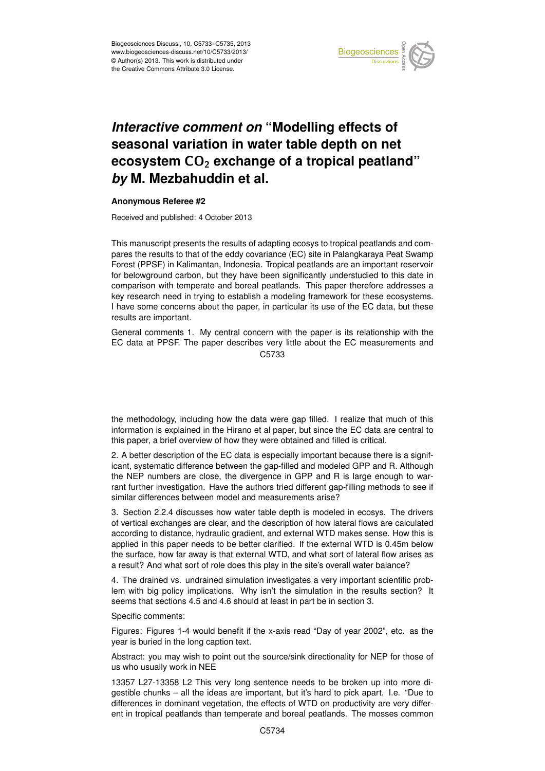

## Earth System seasonal variation in water table depth on net  $\mathbf{a}$ *Interactive comment on "Modelling effects of* **ecosystem CO<sub>2</sub> exchange of a tropical peatland"**  $dim$  of c *by* M. Mezbahuddin et al.  $\overline{a}$

## **Anonymous Referee #2**

Received and published: 4 October 2013

This manuscript presents the results of adapting ecosys to tropical peatlands and comic<br>. ar<br> Forest (PPSF) in Kalimantan, Indonesia. Tropical peatlands are an important reservoir for belowground carbon, but they have been significantly understudied to this date in comparison with temperate and boreal peatlands. This paper therefore addresses a .<br>p re<br>S<br>re key research need in trying to establish a modeling framework for these ecosystems. ا<br>م .<br>د pares the results to that of the eddy covariance (EC) site in Palangkaraya Peat Swamp I have some concerns about the paper, in particular its use of the EC data, but these results are important.

General comments 1. My central concern with the paper is its relationship with the C<br>C EC data at PPSF. The paper describes very little about the EC measurements and C5733

.<br>ta e<br>P the methodology, including how the data were gap filled. I realize that much of this information is explained in the Hirano et al paper, but since the EC data are central to this paper, a brief overview of how they were obtained and filled is critical.

2. A better description of the EC data is especially important because there is a significant, systematic difference between the gap-filled and modeled GPP and R. Although the NEP numbers are close, the divergence in GPP and R is large enough to warrant further investigation. Have the authors tried different gap-filling methods to see if similar differences between model and measurements arise?

3. Section 2.2.4 discusses how water table depth is modeled in ecosys. The drivers of vertical exchanges are clear, and the description of how lateral flows are calculated according to distance, hydraulic gradient, and external WTD makes sense. How this is applied in this paper needs to be better clarified. If the external WTD is 0.45m below the surface, how far away is that external WTD, and what sort of lateral flow arises as a result? And what sort of role does this play in the site's overall water balance?

4. The drained vs. undrained simulation investigates a very important scientific problem with big policy implications. Why isn't the simulation in the results section? It seems that sections 4.5 and 4.6 should at least in part be in section 3.

Specific comments:

Figures: Figures 1-4 would benefit if the x-axis read "Day of year 2002", etc. as the year is buried in the long caption text.

Abstract: you may wish to point out the source/sink directionality for NEP for those of us who usually work in NEE

13357 L27-13358 L2 This very long sentence needs to be broken up into more digestible chunks – all the ideas are important, but it's hard to pick apart. I.e. "Due to differences in dominant vegetation, the effects of WTD on productivity are very different in tropical peatlands than temperate and boreal peatlands. The mosses common